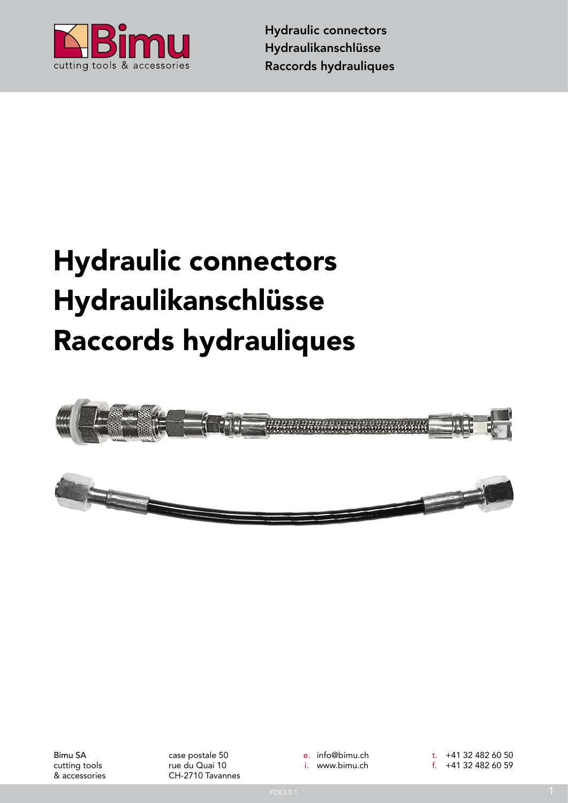

## Hydraulic connectors Hydraulikanschlüsse Raccords hydrauliques



Bimu SA cutting tools & accessories case postale 50 rue du Quai 10 CH-2710 Tavannes e. info@bimu.ch i. www.bimu.ch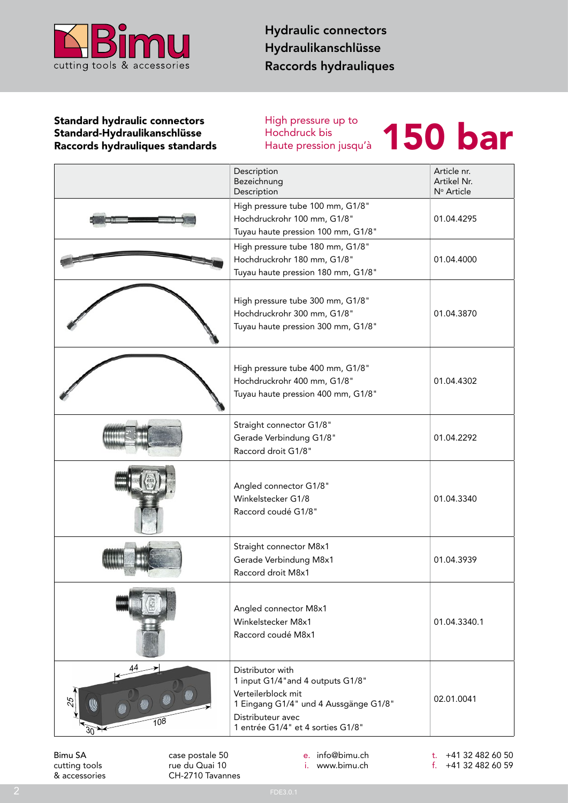

## Standard hydraulic connectors<br>
Standard-Hydraulikanschlüsse<br>
Raccords hydrauliques standards<br>
Haute pression jusqu'à<br>
Haute pression jusqu'à Standard-Hydraulikanschlüsse Raccords hydrauliques standards

High pressure up to Hochdruck bis<br>Haute pression jusqu'à



|         |                 | Description<br>Bezeichnung<br>Description                                                                                                                                      | Article nr.<br>Artikel Nr.<br>Nº Article |
|---------|-----------------|--------------------------------------------------------------------------------------------------------------------------------------------------------------------------------|------------------------------------------|
|         |                 | High pressure tube 100 mm, G1/8"<br>Hochdruckrohr 100 mm, G1/8"<br>Tuyau haute pression 100 mm, G1/8"                                                                          | 01.04.4295                               |
|         |                 | High pressure tube 180 mm, G1/8"<br>Hochdruckrohr 180 mm, G1/8"<br>Tuyau haute pression 180 mm, G1/8"                                                                          | 01.04.4000                               |
|         |                 | High pressure tube 300 mm, G1/8"<br>Hochdruckrohr 300 mm, G1/8"<br>Tuyau haute pression 300 mm, G1/8"                                                                          | 01.04.3870                               |
|         |                 | High pressure tube 400 mm, G1/8"<br>Hochdruckrohr 400 mm, G1/8"<br>Tuyau haute pression 400 mm, G1/8"                                                                          | 01.04.4302                               |
|         |                 | Straight connector G1/8"<br>Gerade Verbindung G1/8"<br>Raccord droit G1/8"                                                                                                     | 01.04.2292                               |
|         |                 | Angled connector G1/8"<br>Winkelstecker G1/8<br>Raccord coudé G1/8"                                                                                                            | 01.04.3340                               |
|         |                 | Straight connector M8x1<br>Gerade Verbindung M8x1<br>Raccord droit M8x1                                                                                                        | 01.04.3939                               |
|         |                 | Angled connector M8x1<br>Winkelstecker M8x1<br>Raccord coudé M8x1                                                                                                              | 01.04.3340.1                             |
| 30      | 108             | Distributor with<br>1 input G1/4" and 4 outputs G1/8"<br>Verteilerblock mit<br>1 Eingang G1/4" und 4 Aussgänge G1/8"<br>Distributeur avec<br>1 entrée G1/4" et 4 sorties G1/8" | 02.01.0041                               |
| Bimu SA | case postale 50 | e. info@bimu.ch                                                                                                                                                                | t. $+41$ 32 482 60 50                    |

cutting tools & accessories

case postale 50 rue du Quai 10 CH-2710 Tavannes

e. info@bimu.ch i. www.bimu.ch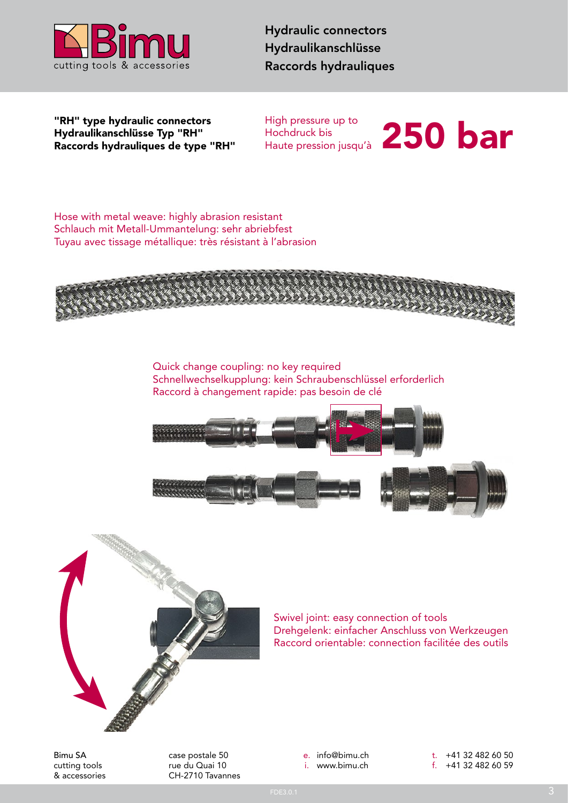

Hydraulikanschlüsse Typ "RH" Raccords hydrauliques de type "RH"

High pressure up to Hochdruck bis "RH" type hydraulic connectors High pressure up to<br>Hydraulikanschlüsse Typ "RH" Hochdruck bis<br>Raccords hydrauliques de type "RH" Haute pression jusqu'à 250 bar bar

Hose with metal weave: highly abrasion resistant Schlauch mit Metall-Ummantelung: sehr abriebfest Tuyau avec tissage métallique: très résistant à l'abrasion



Quick change coupling: no key required Schnellwechselkupplung: kein Schraubenschlüssel erforderlich Raccord à changement rapide: pas besoin de clé





Swivel joint: easy connection of tools Drehgelenk: einfacher Anschluss von Werkzeugen Raccord orientable: connection facilitée des outils

Bimu SA cutting tools & accessories case postale 50 rue du Quai 10 CH-2710 Tavannes e. info@bimu.ch i. www.bimu.ch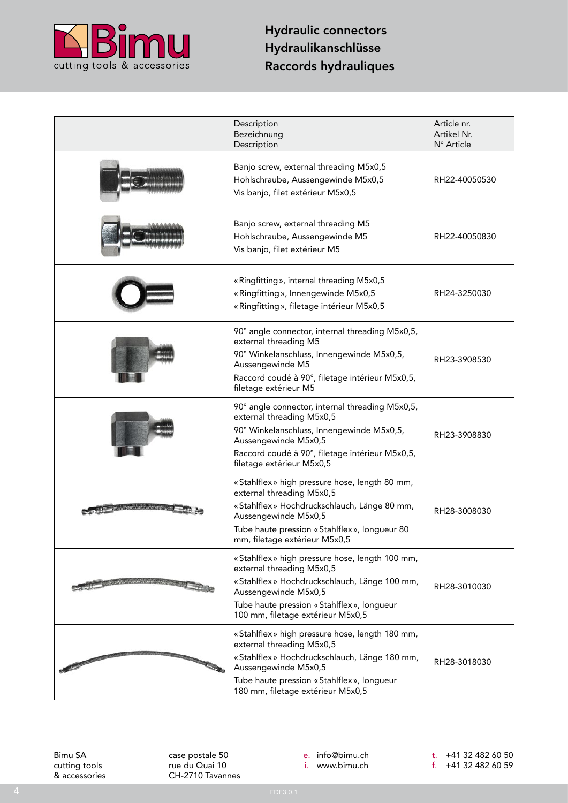

|        | Description<br>Bezeichnung<br>Description                                                                                                                                                                                             | Article nr.<br>Artikel Nr.<br>Nº Article |
|--------|---------------------------------------------------------------------------------------------------------------------------------------------------------------------------------------------------------------------------------------|------------------------------------------|
|        | Banjo screw, external threading M5x0,5<br>Hohlschraube, Aussengewinde M5x0,5<br>Vis banjo, filet extérieur M5x0,5                                                                                                                     | RH22-40050530                            |
|        | Banjo screw, external threading M5<br>Hohlschraube, Aussengewinde M5<br>Vis banjo, filet extérieur M5                                                                                                                                 | RH22-40050830                            |
|        | «Ringfitting», internal threading M5x0,5<br>«Ringfitting», Innengewinde M5x0,5<br>« Ringfitting », filetage intérieur M5x0,5                                                                                                          | RH24-3250030                             |
|        | 90° angle connector, internal threading M5x0,5,<br>external threading M5<br>90° Winkelanschluss, Innengewinde M5x0,5,<br>Aussengewinde M5<br>Raccord coudé à 90°, filetage intérieur M5x0,5,<br>filetage extérieur M5                 | RH23-3908530                             |
|        | 90° angle connector, internal threading M5x0,5,<br>external threading M5x0,5<br>90° Winkelanschluss, Innengewinde M5x0,5,<br>Aussengewinde M5x0,5<br>Raccord coudé à 90°, filetage intérieur M5x0,5,<br>filetage extérieur M5x0,5     | RH23-3908830                             |
|        | «Stahlflex» high pressure hose, length 80 mm,<br>external threading M5x0,5<br>«Stahlflex» Hochdruckschlauch, Länge 80 mm,<br>Aussengewinde M5x0,5<br>Tube haute pression « Stahlflex », longueur 80<br>mm, filetage extérieur M5x0,5  | RH28-3008030                             |
| 30.000 | «Stahlflex» high pressure hose, length 100 mm,<br>external threading M5x0,5<br>«Stahlflex» Hochdruckschlauch, Länge 100 mm,<br>Aussengewinde M5x0,5<br>Tube haute pression «Stahlflex», longueur<br>100 mm, filetage extérieur M5x0,5 | RH28-3010030                             |
|        | «Stahlflex» high pressure hose, length 180 mm,<br>external threading M5x0,5<br>«Stahlflex» Hochdruckschlauch, Länge 180 mm,<br>Aussengewinde M5x0,5<br>Tube haute pression «Stahlflex», longueur<br>180 mm, filetage extérieur M5x0,5 | RH28-3018030                             |

Bimu SA cutting tool s & accessorie s case postale 50 rue du Quai 10 CH-2710 Tavannes e. info@bimu.ch

i. www.bimu.ch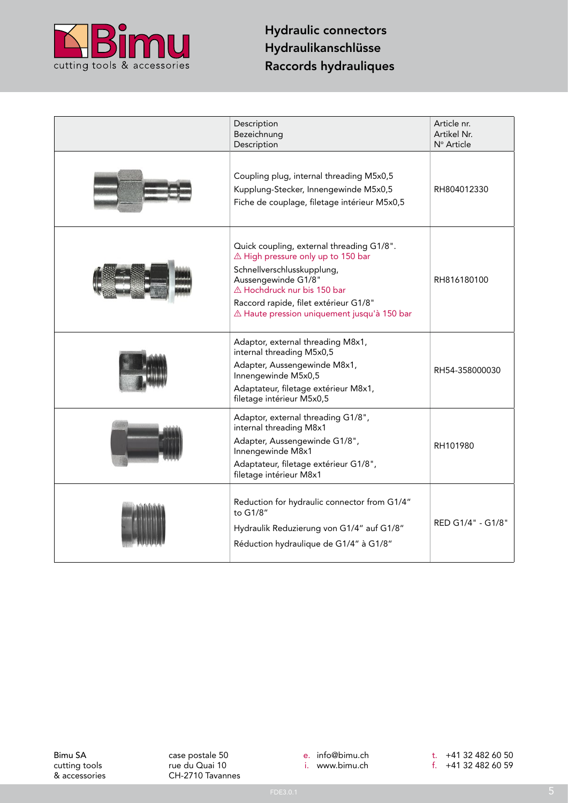

| Description<br>Bezeichnung<br>Description                                                                                                                                                                                                                   | Article nr.<br>Artikel Nr.<br>Nº Article |
|-------------------------------------------------------------------------------------------------------------------------------------------------------------------------------------------------------------------------------------------------------------|------------------------------------------|
| Coupling plug, internal threading M5x0,5<br>Kupplung-Stecker, Innengewinde M5x0,5<br>Fiche de couplage, filetage intérieur M5x0,5                                                                                                                           | RH804012330                              |
| Quick coupling, external threading G1/8".<br>△ High pressure only up to 150 bar<br>Schnellverschlusskupplung,<br>Aussengewinde G1/8"<br>△ Hochdruck nur bis 150 bar<br>Raccord rapide, filet extérieur G1/8"<br>A Haute pression uniquement jusqu'à 150 bar | RH816180100                              |
| Adaptor, external threading M8x1,<br>internal threading M5x0,5<br>Adapter, Aussengewinde M8x1,<br>Innengewinde M5x0,5<br>Adaptateur, filetage extérieur M8x1,<br>filetage intérieur M5x0,5                                                                  | RH54-358000030                           |
| Adaptor, external threading G1/8",<br>internal threading M8x1<br>Adapter, Aussengewinde G1/8",<br>Innengewinde M8x1<br>Adaptateur, filetage extérieur G1/8",<br>filetage intérieur M8x1                                                                     | RH101980                                 |
| Reduction for hydraulic connector from G1/4"<br>to G1/8"<br>Hydraulik Reduzierung von G1/4" auf G1/8"<br>Réduction hydraulique de G1/4" à G1/8"                                                                                                             | RED G1/4" - G1/8"                        |

Bimu SA cutting tools & accessories case postale 50 rue du Quai 10 CH-2710 Tavannes e. info@bimu.ch i. www.bimu.ch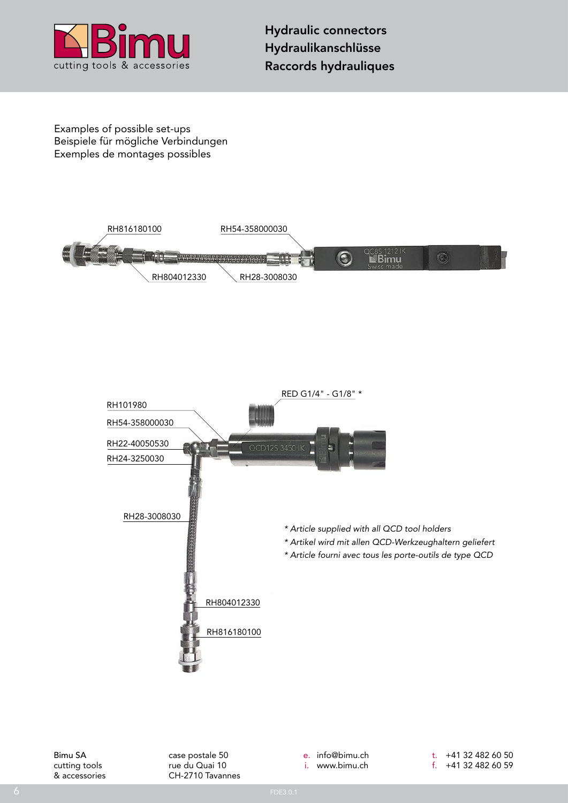

Examples of possible set-ups Beispiele für mögliche Verbindungen Exemples de montages possibles



case postale 50 rue du Quai 10 CH-2710 Tavannes e. info@bimu.ch i. www.bimu.ch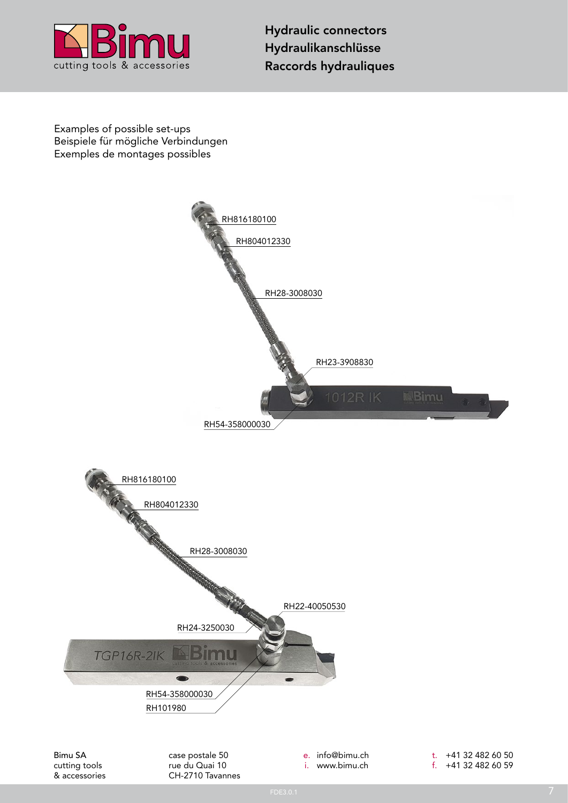

Examples of possible set-ups Beispiele für mögliche Verbindungen Exemples de montages possibles



cutting tools & accessories rue du Quai 10 CH-2710 Tavannes i. www.bimu.ch

f. +41 32 482 60 59